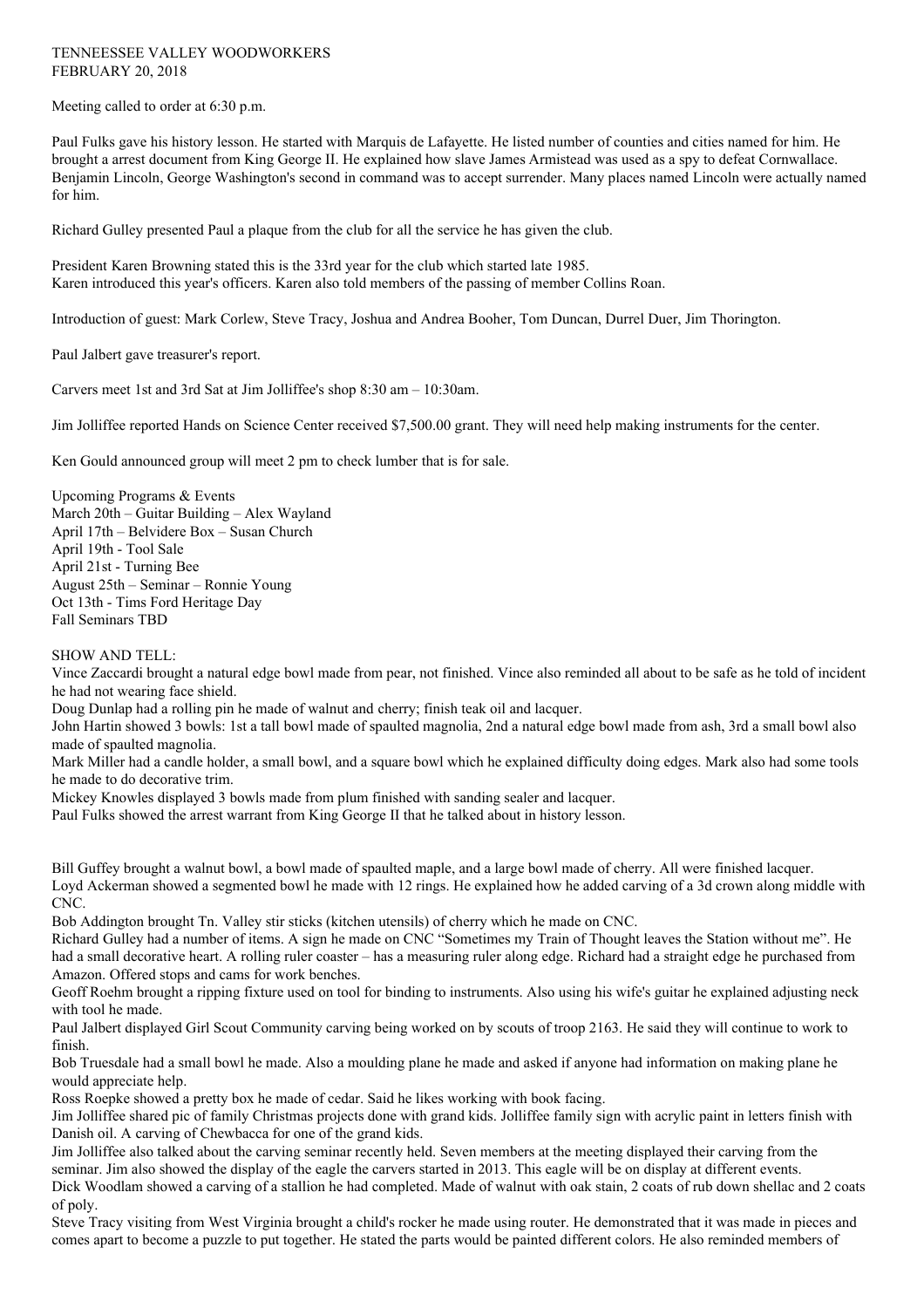## TENNEESSEE VALLEY WOODWORKERS FEBRUARY 20, 2018

Meeting called to order at 6:30 p.m.

Paul Fulks gave his history lesson. He started with Marquis de Lafayette. He listed number of counties and cities named for him. He brought a arrest document from King George II. He explained how slave James Armistead was used as a spy to defeat Cornwallace. Benjamin Lincoln, George Washington's second in command was to accept surrender. Many places named Lincoln were actually named for him.

Richard Gulley presented Paul a plaque from the club for all the service he has given the club.

President Karen Browning stated this is the 33rd year for the club which started late 1985. Karen introduced this year's officers. Karen also told members of the passing of member Collins Roan.

Introduction of guest: Mark Corlew, Steve Tracy, Joshua and Andrea Booher, Tom Duncan, Durrel Duer, Jim Thorington.

Paul Jalbert gave treasurer's report.

Carvers meet 1st and 3rd Sat at Jim Jolliffee's shop 8:30 am – 10:30am.

Jim Jolliffee reported Hands on Science Center received \$7,500.00 grant. They will need help making instruments for the center.

Ken Gould announced group will meet 2 pm to check lumber that is for sale.

Upcoming Programs & Events March 20th – Guitar Building – Alex Wayland April 17th – Belvidere Box – Susan Church April 19th - Tool Sale April 21st - Turning Bee August 25th – Seminar – Ronnie Young Oct 13th - Tims Ford Heritage Day Fall Seminars TBD

SHOW AND TELL:

Vince Zaccardi brought a natural edge bowl made from pear, not finished. Vince also reminded all about to be safe as he told of incident he had not wearing face shield.

Doug Dunlap had a rolling pin he made of walnut and cherry; finish teak oil and lacquer.

John Hartin showed 3 bowls: 1st a tall bowl made of spaulted magnolia, 2nd a natural edge bowl made from ash, 3rd a small bowl also made of spaulted magnolia.

Mark Miller had a candle holder, a small bowl, and a square bowl which he explained difficulty doing edges. Mark also had some tools he made to do decorative trim.

Mickey Knowles displayed 3 bowls made from plum finished with sanding sealer and lacquer.

Paul Fulks showed the arrest warrant from King George II that he talked about in history lesson.

Bill Guffey brought a walnut bowl, a bowl made of spaulted maple, and a large bowl made of cherry. All were finished lacquer. Loyd Ackerman showed a segmented bowl he made with 12 rings. He explained how he added carving of a 3d crown along middle with CNC.

Bob Addington brought Tn. Valley stir sticks (kitchen utensils) of cherry which he made on CNC.

Richard Gulley had a number of items. A sign he made on CNC "Sometimes my Train of Thought leaves the Station without me". He had a small decorative heart. A rolling ruler coaster – has a measuring ruler along edge. Richard had a straight edge he purchased from Amazon. Offered stops and cams for work benches.

Geoff Roehm brought a ripping fixture used on tool for binding to instruments. Also using his wife's guitar he explained adjusting neck with tool he made.

Paul Jalbert displayed Girl Scout Community carving being worked on by scouts of troop 2163. He said they will continue to work to finish.

Bob Truesdale had a small bowl he made. Also a moulding plane he made and asked if anyone had information on making plane he would appreciate help.

Ross Roepke showed a pretty box he made of cedar. Said he likes working with book facing.

Jim Jolliffee shared pic of family Christmas projects done with grand kids. Jolliffee family sign with acrylic paint in letters finish with Danish oil. A carving of Chewbacca for one of the grand kids.

Jim Jolliffee also talked about the carving seminar recently held. Seven members at the meeting displayed their carving from the seminar. Jim also showed the display of the eagle the carvers started in 2013. This eagle will be on display at different events. Dick Woodlam showed a carving of a stallion he had completed. Made of walnut with oak stain, 2 coats of rub down shellac and 2 coats of poly.

Steve Tracy visiting from West Virginia brought a child's rocker he made using router. He demonstrated that it was made in pieces and comes apart to become a puzzle to put together. He stated the parts would be painted different colors. He also reminded members of